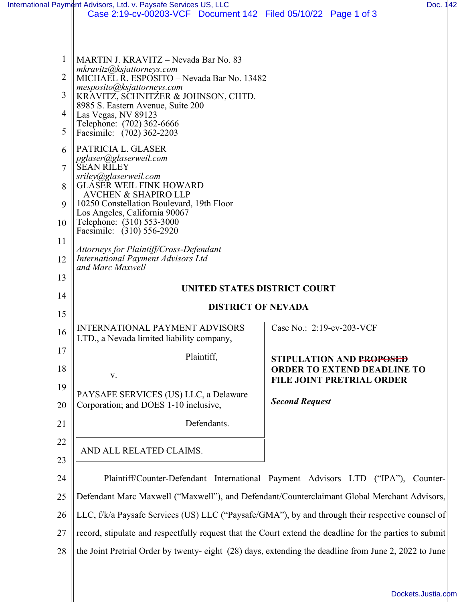|                                                                                       | International Payment Advisors, Ltd. v. Paysafe Services US, LLC<br>Case 2:19-cv-00203-VCF Document 142 Filed 05/10/22 Page 1 of 3                                                                                                                                                                                                                                                                                                                                                                                                                                                                                                                                                                      | Doc. 142                                                                         |  |
|---------------------------------------------------------------------------------------|---------------------------------------------------------------------------------------------------------------------------------------------------------------------------------------------------------------------------------------------------------------------------------------------------------------------------------------------------------------------------------------------------------------------------------------------------------------------------------------------------------------------------------------------------------------------------------------------------------------------------------------------------------------------------------------------------------|----------------------------------------------------------------------------------|--|
| 1<br>$\overline{2}$<br>3<br>4<br>5<br>6<br>$\overline{7}$<br>8<br>9<br>10<br>11<br>12 | MARTIN J. KRAVITZ - Nevada Bar No. 83<br>mkravitz@ksjattorneys.com<br>MICHAEL R. ESPOSITO - Nevada Bar No. 13482<br>mesposito@ksjattorneys.com<br>KRAVITZ, SCHNITZER & JOHNSON, CHTD.<br>8985 S. Eastern Avenue, Suite 200<br>Las Vegas, NV 89123<br>Telephone: (702) 362-6666<br>Facsimile: (702) 362-2203<br>PATRICIA L. GLASER<br>pglaser@glaserweil.com<br><b>SEAN RILEY</b><br>sriley@glaserweil.com<br><b>GLASER WEIL FINK HOWARD</b><br><b>AVCHEN &amp; SHAPIRO LLP</b><br>10250 Constellation Boulevard, 19th Floor<br>Los Angeles, California 90067<br>Telephone: (310) 553-3000<br>Facsimile: (310) 556-2920<br>Attorneys for Plaintiff/Cross-Defendant<br>International Payment Advisors Ltd |                                                                                  |  |
| 13                                                                                    | and Marc Maxwell                                                                                                                                                                                                                                                                                                                                                                                                                                                                                                                                                                                                                                                                                        |                                                                                  |  |
| 14                                                                                    | UNITED STATES DISTRICT COURT                                                                                                                                                                                                                                                                                                                                                                                                                                                                                                                                                                                                                                                                            |                                                                                  |  |
| 15                                                                                    | <b>DISTRICT OF NEVADA</b>                                                                                                                                                                                                                                                                                                                                                                                                                                                                                                                                                                                                                                                                               |                                                                                  |  |
| 16                                                                                    | <b>INTERNATIONAL PAYMENT ADVISORS</b><br>LTD., a Nevada limited liability company,                                                                                                                                                                                                                                                                                                                                                                                                                                                                                                                                                                                                                      | Case No.: 2:19-cv-203-VCF                                                        |  |
| 17                                                                                    | Plaintiff,                                                                                                                                                                                                                                                                                                                                                                                                                                                                                                                                                                                                                                                                                              | STIPULATION AND P <del>ROPOSED</del>                                             |  |
| 18                                                                                    | V.                                                                                                                                                                                                                                                                                                                                                                                                                                                                                                                                                                                                                                                                                                      | <b>ORDER TO EXTEND DEADLINE TO</b><br><b>FILE JOINT PRETRIAL ORDER</b>           |  |
| 19<br>20                                                                              | PAYSAFE SERVICES (US) LLC, a Delaware<br>Corporation; and DOES 1-10 inclusive,                                                                                                                                                                                                                                                                                                                                                                                                                                                                                                                                                                                                                          | <b>Second Request</b>                                                            |  |
| 21                                                                                    | Defendants.                                                                                                                                                                                                                                                                                                                                                                                                                                                                                                                                                                                                                                                                                             |                                                                                  |  |
| 22                                                                                    |                                                                                                                                                                                                                                                                                                                                                                                                                                                                                                                                                                                                                                                                                                         |                                                                                  |  |
| 23                                                                                    | AND ALL RELATED CLAIMS.                                                                                                                                                                                                                                                                                                                                                                                                                                                                                                                                                                                                                                                                                 |                                                                                  |  |
| 24                                                                                    |                                                                                                                                                                                                                                                                                                                                                                                                                                                                                                                                                                                                                                                                                                         | Plaintiff/Counter-Defendant International Payment Advisors LTD ("IPA"), Counter- |  |
| 25                                                                                    | Defendant Marc Maxwell ("Maxwell"), and Defendant/Counterclaimant Global Merchant Advisors,                                                                                                                                                                                                                                                                                                                                                                                                                                                                                                                                                                                                             |                                                                                  |  |
| 26                                                                                    | LLC, f/k/a Paysafe Services (US) LLC ("Paysafe/GMA"), by and through their respective counsel of                                                                                                                                                                                                                                                                                                                                                                                                                                                                                                                                                                                                        |                                                                                  |  |
| 27                                                                                    | record, stipulate and respectfully request that the Court extend the deadline for the parties to submit                                                                                                                                                                                                                                                                                                                                                                                                                                                                                                                                                                                                 |                                                                                  |  |
| 28                                                                                    | the Joint Pretrial Order by twenty-eight (28) days, extending the deadline from June 2, 2022 to June                                                                                                                                                                                                                                                                                                                                                                                                                                                                                                                                                                                                    |                                                                                  |  |

[Dockets.Justia.com](https://dockets.justia.com/)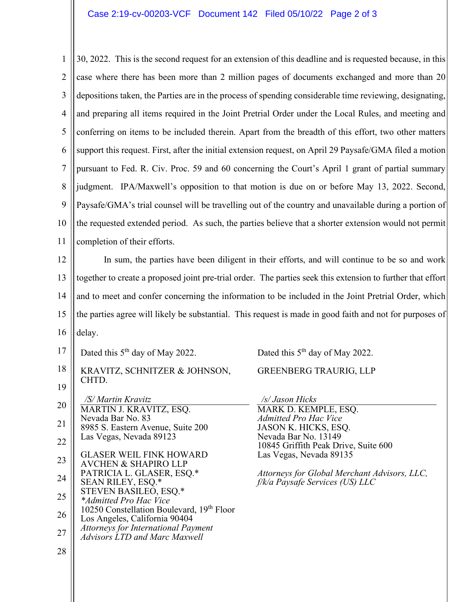## Case 2:19-cv-00203-VCF Document 142 Filed 05/10/22 Page 2 of 3

1 2 3 4 5 6 7 8 9 10 11 30, 2022. This is the second request for an extension of this deadline and is requested because, in this case where there has been more than 2 million pages of documents exchanged and more than 20 depositions taken, the Parties are in the process of spending considerable time reviewing, designating, and preparing all items required in the Joint Pretrial Order under the Local Rules, and meeting and conferring on items to be included therein. Apart from the breadth of this effort, two other matters support this request. First, after the initial extension request, on April 29 Paysafe/GMA filed a motion pursuant to Fed. R. Civ. Proc. 59 and 60 concerning the Court's April 1 grant of partial summary judgment. IPA/Maxwell's opposition to that motion is due on or before May 13, 2022. Second, Paysafe/GMA's trial counsel will be travelling out of the country and unavailable during a portion of the requested extended period. As such, the parties believe that a shorter extension would not permit completion of their efforts.

12 13 14 15 16 In sum, the parties have been diligent in their efforts, and will continue to be so and work together to create a proposed joint pre-trial order. The parties seek this extension to further that effort and to meet and confer concerning the information to be included in the Joint Pretrial Order, which the parties agree will likely be substantial. This request is made in good faith and not for purposes of delay.

- 17 Dated this 5<sup>th</sup> day of May 2022.
- 18 19 KRAVITZ, SCHNITZER & JOHNSON, CHTD.

20 21 22 23 24 25 */S/ Martin Kravitz* MARTIN J. KRAVITZ, ESQ. Nevada Bar No. 83 8985 S. Eastern Avenue, Suite 200 Las Vegas, Nevada 89123 GLASER WEIL FINK HOWARD AVCHEN & SHAPIRO LLP PATRICIA L. GLASER, ESQ.\* SEAN RILEY, ESQ.\* STEVEN BASILEO, ESQ.\* *\*Admitted Pro Hac Vice*

- 26 10250 Constellation Boulevard, 19<sup>th</sup> Floor Los Angeles, California 90404
- 27 *Attorneys for International Payment*
- *Advisors LTD and Marc Maxwell*

28

Dated this 5<sup>th</sup> day of May 2022.

## GREENBERG TRAURIG, LLP

*/s/ Jason Hicks* MARK D. KEMPLE, ESQ. *Admitted Pro Hac Vice* JASON K. HICKS, ESQ. Nevada Bar No. 13149 10845 Griffith Peak Drive, Suite 600 Las Vegas, Nevada 89135

*Attorneys for Global Merchant Advisors, LLC, f/k/a Paysafe Services (US) LLC*